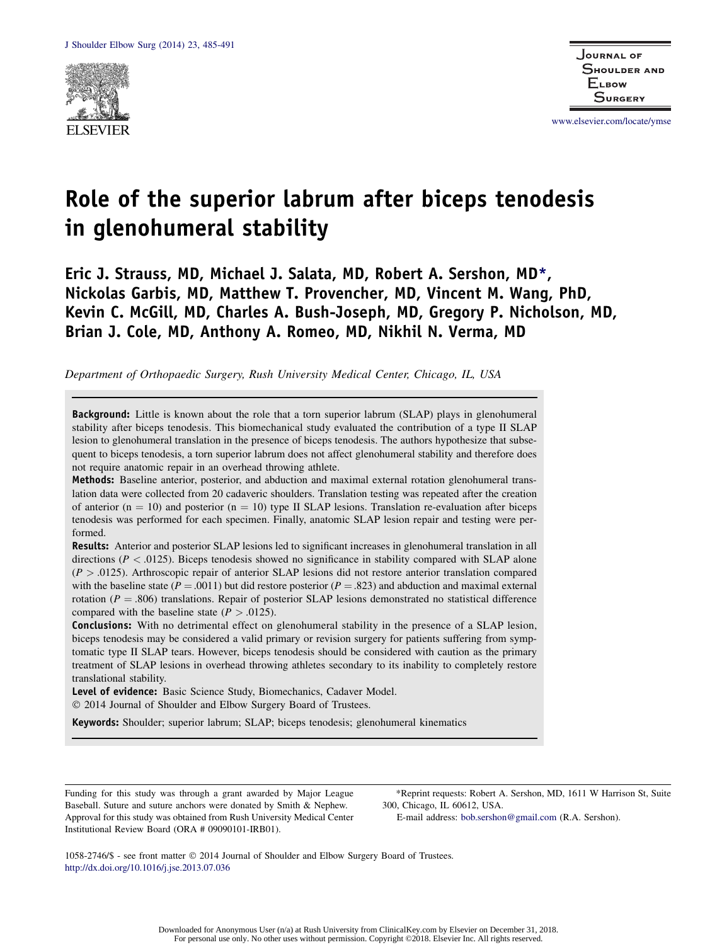

www.elsevier.com/locate/ymse

# Role of the superior labrum after biceps tenodesis in glenohumeral stability

Eric J. Strauss, MD, Michael J. Salata, MD, Robert A. Sershon, MD\*, Nickolas Garbis, MD, Matthew T. Provencher, MD, Vincent M. Wang, PhD, Kevin C. McGill, MD, Charles A. Bush-Joseph, MD, Gregory P. Nicholson, MD, Brian J. Cole, MD, Anthony A. Romeo, MD, Nikhil N. Verma, MD

Department of Orthopaedic Surgery, Rush University Medical Center, Chicago, IL, USA

**Background:** Little is known about the role that a torn superior labrum (SLAP) plays in glenohumeral stability after biceps tenodesis. This biomechanical study evaluated the contribution of a type II SLAP lesion to glenohumeral translation in the presence of biceps tenodesis. The authors hypothesize that subsequent to biceps tenodesis, a torn superior labrum does not affect glenohumeral stability and therefore does not require anatomic repair in an overhead throwing athlete.

Methods: Baseline anterior, posterior, and abduction and maximal external rotation glenohumeral translation data were collected from 20 cadaveric shoulders. Translation testing was repeated after the creation of anterior ( $n = 10$ ) and posterior ( $n = 10$ ) type II SLAP lesions. Translation re-evaluation after biceps tenodesis was performed for each specimen. Finally, anatomic SLAP lesion repair and testing were performed.

Results: Anterior and posterior SLAP lesions led to significant increases in glenohumeral translation in all directions ( $P < 0.0125$ ). Biceps tenodesis showed no significance in stability compared with SLAP alone  $(P > .0125)$ . Arthroscopic repair of anterior SLAP lesions did not restore anterior translation compared with the baseline state ( $P = .0011$ ) but did restore posterior ( $P = .823$ ) and abduction and maximal external rotation ( $P = .806$ ) translations. Repair of posterior SLAP lesions demonstrated no statistical difference compared with the baseline state  $(P > .0125)$ .

**Conclusions:** With no detrimental effect on glenohumeral stability in the presence of a SLAP lesion, biceps tenodesis may be considered a valid primary or revision surgery for patients suffering from symptomatic type II SLAP tears. However, biceps tenodesis should be considered with caution as the primary treatment of SLAP lesions in overhead throwing athletes secondary to its inability to completely restore translational stability.

Level of evidence: Basic Science Study, Biomechanics, Cadaver Model.

2014 Journal of Shoulder and Elbow Surgery Board of Trustees.

Keywords: Shoulder; superior labrum; SLAP; biceps tenodesis; glenohumeral kinematics

Funding for this study was through a grant awarded by Major League Baseball. Suture and suture anchors were donated by Smith & Nephew. Approval for this study was obtained from Rush University Medical Center Institutional Review Board (ORA # 09090101-IRB01).

\*Reprint requests: Robert A. Sershon, MD, 1611 W Harrison St, Suite 300, Chicago, IL 60612, USA.

E-mail address: bob.sershon@gmail.com (R.A. Sershon).

1058-2746/\$ - see front matter 2014 Journal of Shoulder and Elbow Surgery Board of Trustees. http://dx.doi.org/10.1016/j.jse.2013.07.036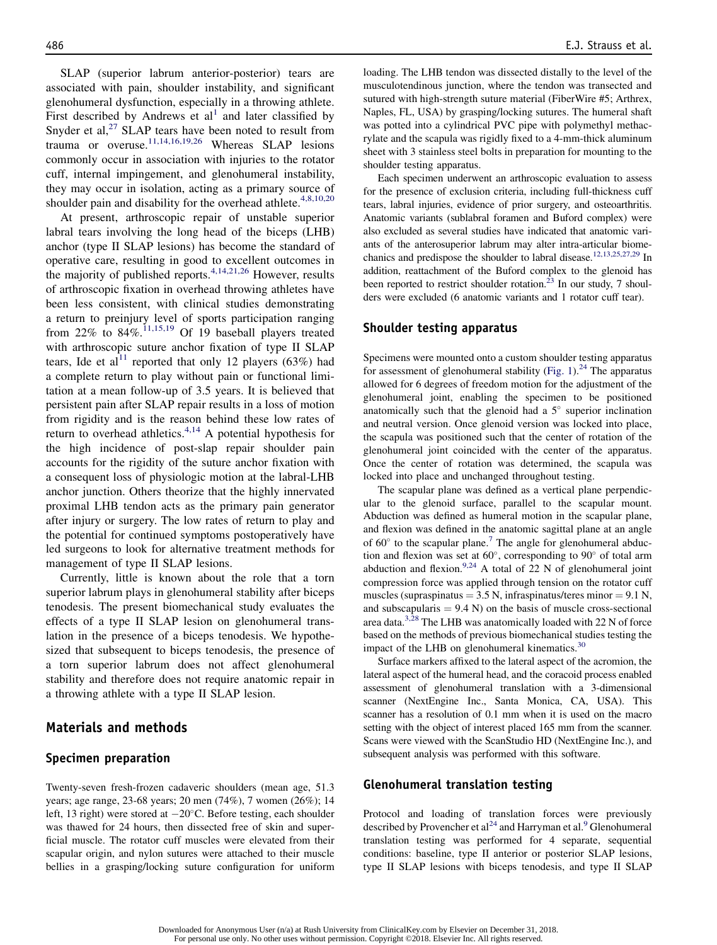SLAP (superior labrum anterior-posterior) tears are associated with pain, shoulder instability, and significant glenohumeral dysfunction, especially in a throwing athlete. First described by Andrews et  $al<sup>1</sup>$  and later classified by Snyder et al,<sup>27</sup> SLAP tears have been noted to result from trauma or overuse.<sup>11,14,16,19,26</sup> Whereas SLAP lesions commonly occur in association with injuries to the rotator cuff, internal impingement, and glenohumeral instability, they may occur in isolation, acting as a primary source of shoulder pain and disability for the overhead athlete. $4,8,10,20$ 

At present, arthroscopic repair of unstable superior labral tears involving the long head of the biceps (LHB) anchor (type II SLAP lesions) has become the standard of operative care, resulting in good to excellent outcomes in the majority of published reports.<sup>4,14,21,26</sup> However, results of arthroscopic fixation in overhead throwing athletes have been less consistent, with clinical studies demonstrating a return to preinjury level of sports participation ranging from 22% to  $84\%$ .<sup>11,15,19</sup> Of 19 baseball players treated with arthroscopic suture anchor fixation of type II SLAP tears, Ide et al<sup>11</sup> reported that only 12 players (63%) had a complete return to play without pain or functional limitation at a mean follow-up of 3.5 years. It is believed that persistent pain after SLAP repair results in a loss of motion from rigidity and is the reason behind these low rates of return to overhead athletics. $4,14$  A potential hypothesis for the high incidence of post-slap repair shoulder pain accounts for the rigidity of the suture anchor fixation with a consequent loss of physiologic motion at the labral-LHB anchor junction. Others theorize that the highly innervated proximal LHB tendon acts as the primary pain generator after injury or surgery. The low rates of return to play and the potential for continued symptoms postoperatively have led surgeons to look for alternative treatment methods for management of type II SLAP lesions.

Currently, little is known about the role that a torn superior labrum plays in glenohumeral stability after biceps tenodesis. The present biomechanical study evaluates the effects of a type II SLAP lesion on glenohumeral translation in the presence of a biceps tenodesis. We hypothesized that subsequent to biceps tenodesis, the presence of a torn superior labrum does not affect glenohumeral stability and therefore does not require anatomic repair in a throwing athlete with a type II SLAP lesion.

## Materials and methods

#### Specimen preparation

Twenty-seven fresh-frozen cadaveric shoulders (mean age, 51.3 years; age range, 23-68 years; 20 men (74%), 7 women (26%); 14 left, 13 right) were stored at  $-20^{\circ}$ C. Before testing, each shoulder was thawed for 24 hours, then dissected free of skin and superficial muscle. The rotator cuff muscles were elevated from their scapular origin, and nylon sutures were attached to their muscle bellies in a grasping/locking suture configuration for uniform loading. The LHB tendon was dissected distally to the level of the musculotendinous junction, where the tendon was transected and sutured with high-strength suture material (FiberWire #5; Arthrex, Naples, FL, USA) by grasping/locking sutures. The humeral shaft was potted into a cylindrical PVC pipe with polymethyl methacrylate and the scapula was rigidly fixed to a 4-mm-thick aluminum sheet with 3 stainless steel bolts in preparation for mounting to the shoulder testing apparatus.

Each specimen underwent an arthroscopic evaluation to assess for the presence of exclusion criteria, including full-thickness cuff tears, labral injuries, evidence of prior surgery, and osteoarthritis. Anatomic variants (sublabral foramen and Buford complex) were also excluded as several studies have indicated that anatomic variants of the anterosuperior labrum may alter intra-articular biomechanics and predispose the shoulder to labral disease.<sup>12,13,25,27,29</sup> In addition, reattachment of the Buford complex to the glenoid has been reported to restrict shoulder rotation.<sup>23</sup> In our study, 7 shoulders were excluded (6 anatomic variants and 1 rotator cuff tear).

#### Shoulder testing apparatus

Specimens were mounted onto a custom shoulder testing apparatus for assessment of glenohumeral stability (Fig. 1).<sup>24</sup> The apparatus allowed for 6 degrees of freedom motion for the adjustment of the glenohumeral joint, enabling the specimen to be positioned anatomically such that the glenoid had a  $5^\circ$  superior inclination and neutral version. Once glenoid version was locked into place, the scapula was positioned such that the center of rotation of the glenohumeral joint coincided with the center of the apparatus. Once the center of rotation was determined, the scapula was locked into place and unchanged throughout testing.

The scapular plane was defined as a vertical plane perpendicular to the glenoid surface, parallel to the scapular mount. Abduction was defined as humeral motion in the scapular plane, and flexion was defined in the anatomic sagittal plane at an angle of  $60^{\circ}$  to the scapular plane.<sup>7</sup> The angle for glenohumeral abduction and flexion was set at  $60^\circ$ , corresponding to  $90^\circ$  of total arm abduction and flexion.<sup>9,24</sup> A total of 22 N of glenohumeral joint compression force was applied through tension on the rotator cuff muscles (supraspinatus  $= 3.5$  N, infraspinatus/teres minor  $= 9.1$  N, and subscapularis  $= 9.4$  N) on the basis of muscle cross-sectional area data.<sup>3,28</sup> The LHB was anatomically loaded with 22 N of force based on the methods of previous biomechanical studies testing the impact of the LHB on glenohumeral kinematics.<sup>30</sup>

Surface markers affixed to the lateral aspect of the acromion, the lateral aspect of the humeral head, and the coracoid process enabled assessment of glenohumeral translation with a 3-dimensional scanner (NextEngine Inc., Santa Monica, CA, USA). This scanner has a resolution of 0.1 mm when it is used on the macro setting with the object of interest placed 165 mm from the scanner. Scans were viewed with the ScanStudio HD (NextEngine Inc.), and subsequent analysis was performed with this software.

#### Glenohumeral translation testing

Protocol and loading of translation forces were previously described by Provencher et al<sup>24</sup> and Harryman et al.<sup>9</sup> Glenohumeral translation testing was performed for 4 separate, sequential conditions: baseline, type II anterior or posterior SLAP lesions, type II SLAP lesions with biceps tenodesis, and type II SLAP

Downloaded for Anonymous User (n/a) at Rush University from ClinicalKey.com by Elsevier on December 31, 2018. For personal use only. No other uses without permission. Copyright ©2018. Elsevier Inc. All rights reserved.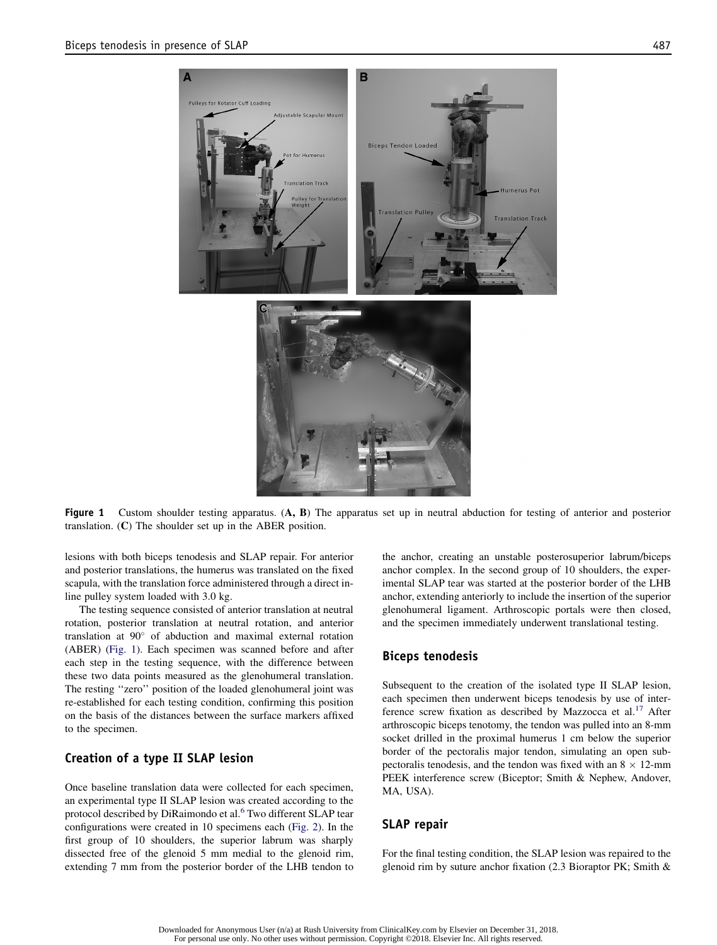

Figure 1 Custom shoulder testing apparatus. (A, B) The apparatus set up in neutral abduction for testing of anterior and posterior translation. (C) The shoulder set up in the ABER position.

lesions with both biceps tenodesis and SLAP repair. For anterior and posterior translations, the humerus was translated on the fixed scapula, with the translation force administered through a direct inline pulley system loaded with 3.0 kg.

The testing sequence consisted of anterior translation at neutral rotation, posterior translation at neutral rotation, and anterior translation at 90° of abduction and maximal external rotation (ABER) (Fig. 1). Each specimen was scanned before and after each step in the testing sequence, with the difference between these two data points measured as the glenohumeral translation. The resting ''zero'' position of the loaded glenohumeral joint was re-established for each testing condition, confirming this position on the basis of the distances between the surface markers affixed to the specimen.

#### Creation of a type II SLAP lesion

Once baseline translation data were collected for each specimen, an experimental type II SLAP lesion was created according to the protocol described by DiRaimondo et al.<sup>6</sup> Two different SLAP tear configurations were created in 10 specimens each (Fig. 2). In the first group of 10 shoulders, the superior labrum was sharply dissected free of the glenoid 5 mm medial to the glenoid rim, extending 7 mm from the posterior border of the LHB tendon to the anchor, creating an unstable posterosuperior labrum/biceps anchor complex. In the second group of 10 shoulders, the experimental SLAP tear was started at the posterior border of the LHB anchor, extending anteriorly to include the insertion of the superior glenohumeral ligament. Arthroscopic portals were then closed, and the specimen immediately underwent translational testing.

#### Biceps tenodesis

Subsequent to the creation of the isolated type II SLAP lesion, each specimen then underwent biceps tenodesis by use of interference screw fixation as described by Mazzocca et al.<sup>17</sup> After arthroscopic biceps tenotomy, the tendon was pulled into an 8-mm socket drilled in the proximal humerus 1 cm below the superior border of the pectoralis major tendon, simulating an open subpectoralis tenodesis, and the tendon was fixed with an  $8 \times 12$ -mm PEEK interference screw (Biceptor; Smith & Nephew, Andover, MA, USA).

#### SLAP repair

For the final testing condition, the SLAP lesion was repaired to the glenoid rim by suture anchor fixation (2.3 Bioraptor PK; Smith &

Downloaded for Anonymous User (n/a) at Rush University from ClinicalKey.com by Elsevier on December 31, 2018. For personal use only. No other uses without permission. Copyright ©2018. Elsevier Inc. All rights reserved.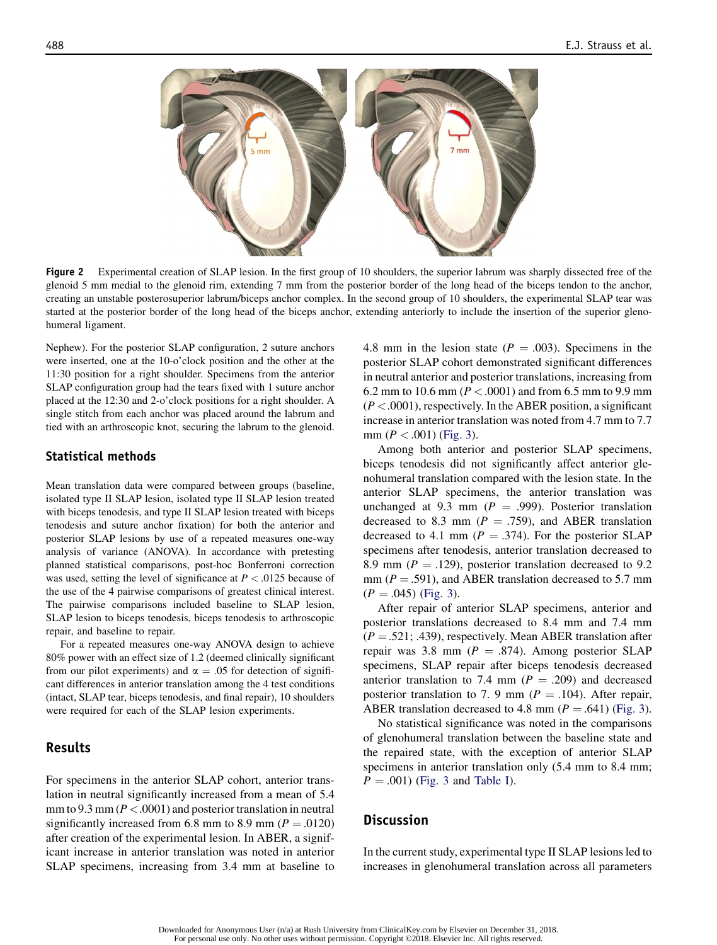

Figure 2 Experimental creation of SLAP lesion. In the first group of 10 shoulders, the superior labrum was sharply dissected free of the glenoid 5 mm medial to the glenoid rim, extending 7 mm from the posterior border of the long head of the biceps tendon to the anchor, creating an unstable posterosuperior labrum/biceps anchor complex. In the second group of 10 shoulders, the experimental SLAP tear was started at the posterior border of the long head of the biceps anchor, extending anteriorly to include the insertion of the superior glenohumeral ligament.

Nephew). For the posterior SLAP configuration, 2 suture anchors were inserted, one at the 10-o'clock position and the other at the 11:30 position for a right shoulder. Specimens from the anterior SLAP configuration group had the tears fixed with 1 suture anchor placed at the 12:30 and 2-o'clock positions for a right shoulder. A single stitch from each anchor was placed around the labrum and tied with an arthroscopic knot, securing the labrum to the glenoid.

#### Statistical methods

Mean translation data were compared between groups (baseline, isolated type II SLAP lesion, isolated type II SLAP lesion treated with biceps tenodesis, and type II SLAP lesion treated with biceps tenodesis and suture anchor fixation) for both the anterior and posterior SLAP lesions by use of a repeated measures one-way analysis of variance (ANOVA). In accordance with pretesting planned statistical comparisons, post-hoc Bonferroni correction was used, setting the level of significance at  $P < 0.0125$  because of the use of the 4 pairwise comparisons of greatest clinical interest. The pairwise comparisons included baseline to SLAP lesion, SLAP lesion to biceps tenodesis, biceps tenodesis to arthroscopic repair, and baseline to repair.

For a repeated measures one-way ANOVA design to achieve 80% power with an effect size of 1.2 (deemed clinically significant from our pilot experiments) and  $\alpha = .05$  for detection of significant differences in anterior translation among the 4 test conditions (intact, SLAP tear, biceps tenodesis, and final repair), 10 shoulders were required for each of the SLAP lesion experiments.

## Results

For specimens in the anterior SLAP cohort, anterior translation in neutral significantly increased from a mean of 5.4 mm to 9.3 mm ( $P < .0001$ ) and posterior translation in neutral significantly increased from 6.8 mm to 8.9 mm ( $P = .0120$ ) after creation of the experimental lesion. In ABER, a significant increase in anterior translation was noted in anterior SLAP specimens, increasing from 3.4 mm at baseline to 4.8 mm in the lesion state ( $P = .003$ ). Specimens in the posterior SLAP cohort demonstrated significant differences in neutral anterior and posterior translations, increasing from 6.2 mm to 10.6 mm ( $P < .0001$ ) and from 6.5 mm to 9.9 mm  $(P < .0001)$ , respectively. In the ABER position, a significant increase in anterior translation was noted from 4.7 mm to 7.7 mm  $(P < .001)$  (Fig. 3).

Among both anterior and posterior SLAP specimens, biceps tenodesis did not significantly affect anterior glenohumeral translation compared with the lesion state. In the anterior SLAP specimens, the anterior translation was unchanged at 9.3 mm ( $P = .999$ ). Posterior translation decreased to 8.3 mm ( $P = .759$ ), and ABER translation decreased to 4.1 mm ( $P = .374$ ). For the posterior SLAP specimens after tenodesis, anterior translation decreased to 8.9 mm ( $P = .129$ ), posterior translation decreased to 9.2 mm ( $P = .591$ ), and ABER translation decreased to 5.7 mm  $(P = .045)$  (Fig. 3).

After repair of anterior SLAP specimens, anterior and posterior translations decreased to 8.4 mm and 7.4 mm  $(P = .521; .439)$ , respectively. Mean ABER translation after repair was 3.8 mm ( $P = .874$ ). Among posterior SLAP specimens, SLAP repair after biceps tenodesis decreased anterior translation to 7.4 mm ( $P = .209$ ) and decreased posterior translation to 7. 9 mm ( $P = .104$ ). After repair, ABER translation decreased to 4.8 mm ( $P = .641$ ) (Fig. 3).

No statistical significance was noted in the comparisons of glenohumeral translation between the baseline state and the repaired state, with the exception of anterior SLAP specimens in anterior translation only  $(5.4 \text{ mm})$  to  $8.4 \text{ mm}$ ;  $P = .001$ ) (Fig. 3 and Table I).

## **Discussion**

In the current study, experimental type II SLAP lesions led to increases in glenohumeral translation across all parameters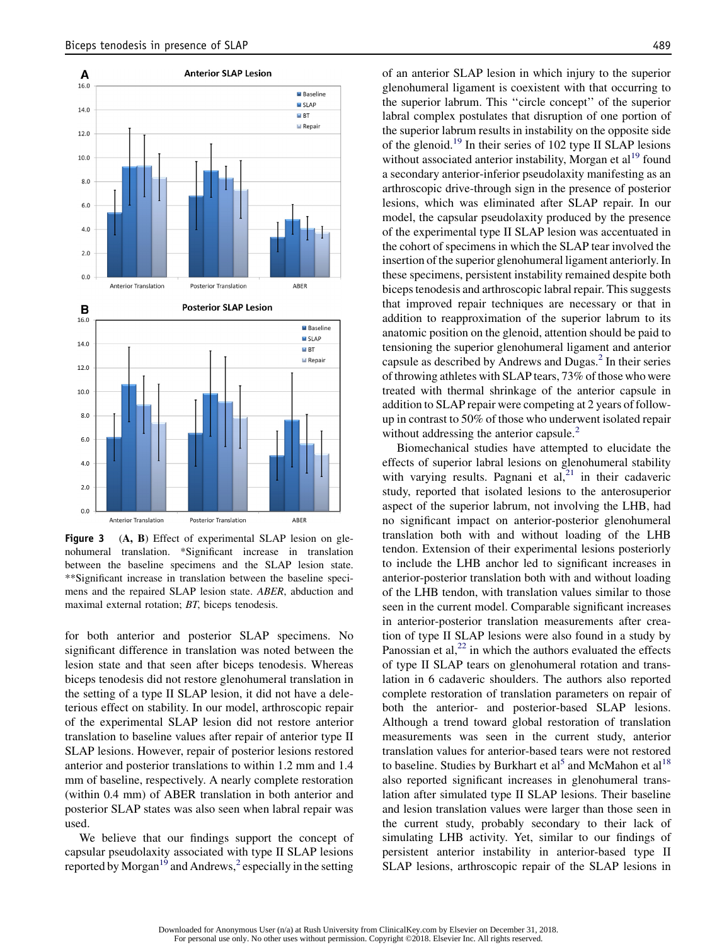

Figure 3 (A, B) Effect of experimental SLAP lesion on glenohumeral translation. \*Significant increase in translation between the baseline specimens and the SLAP lesion state. \*\*Significant increase in translation between the baseline specimens and the repaired SLAP lesion state. ABER, abduction and maximal external rotation; BT, biceps tenodesis.

for both anterior and posterior SLAP specimens. No significant difference in translation was noted between the lesion state and that seen after biceps tenodesis. Whereas biceps tenodesis did not restore glenohumeral translation in the setting of a type II SLAP lesion, it did not have a deleterious effect on stability. In our model, arthroscopic repair of the experimental SLAP lesion did not restore anterior translation to baseline values after repair of anterior type II SLAP lesions. However, repair of posterior lesions restored anterior and posterior translations to within 1.2 mm and 1.4 mm of baseline, respectively. A nearly complete restoration (within 0.4 mm) of ABER translation in both anterior and posterior SLAP states was also seen when labral repair was used.

We believe that our findings support the concept of capsular pseudolaxity associated with type II SLAP lesions reported by Morgan<sup>19</sup> and Andrews,<sup>2</sup> especially in the setting

of an anterior SLAP lesion in which injury to the superior glenohumeral ligament is coexistent with that occurring to the superior labrum. This ''circle concept'' of the superior labral complex postulates that disruption of one portion of the superior labrum results in instability on the opposite side of the glenoid.<sup>19</sup> In their series of 102 type II SLAP lesions without associated anterior instability, Morgan et  $al<sup>19</sup>$  found a secondary anterior-inferior pseudolaxity manifesting as an arthroscopic drive-through sign in the presence of posterior lesions, which was eliminated after SLAP repair. In our model, the capsular pseudolaxity produced by the presence of the experimental type II SLAP lesion was accentuated in the cohort of specimens in which the SLAP tear involved the insertion of the superior glenohumeral ligament anteriorly. In these specimens, persistent instability remained despite both biceps tenodesis and arthroscopic labral repair. This suggests that improved repair techniques are necessary or that in addition to reapproximation of the superior labrum to its anatomic position on the glenoid, attention should be paid to tensioning the superior glenohumeral ligament and anterior capsule as described by Andrews and Dugas.<sup>2</sup> In their series of throwing athletes with SLAP tears, 73% of those who were treated with thermal shrinkage of the anterior capsule in addition to SLAP repair were competing at 2 years of followup in contrast to 50% of those who underwent isolated repair without addressing the anterior capsule.<sup>2</sup>

Biomechanical studies have attempted to elucidate the effects of superior labral lesions on glenohumeral stability with varying results. Pagnani et  $al<sub>1</sub><sup>21</sup>$  in their cadaveric study, reported that isolated lesions to the anterosuperior aspect of the superior labrum, not involving the LHB, had no significant impact on anterior-posterior glenohumeral translation both with and without loading of the LHB tendon. Extension of their experimental lesions posteriorly to include the LHB anchor led to significant increases in anterior-posterior translation both with and without loading of the LHB tendon, with translation values similar to those seen in the current model. Comparable significant increases in anterior-posterior translation measurements after creation of type II SLAP lesions were also found in a study by Panossian et al, $^{22}$  in which the authors evaluated the effects of type II SLAP tears on glenohumeral rotation and translation in 6 cadaveric shoulders. The authors also reported complete restoration of translation parameters on repair of both the anterior- and posterior-based SLAP lesions. Although a trend toward global restoration of translation measurements was seen in the current study, anterior translation values for anterior-based tears were not restored to baseline. Studies by Burkhart et al<sup>5</sup> and McMahon et al<sup>18</sup> also reported significant increases in glenohumeral translation after simulated type II SLAP lesions. Their baseline and lesion translation values were larger than those seen in the current study, probably secondary to their lack of simulating LHB activity. Yet, similar to our findings of persistent anterior instability in anterior-based type II SLAP lesions, arthroscopic repair of the SLAP lesions in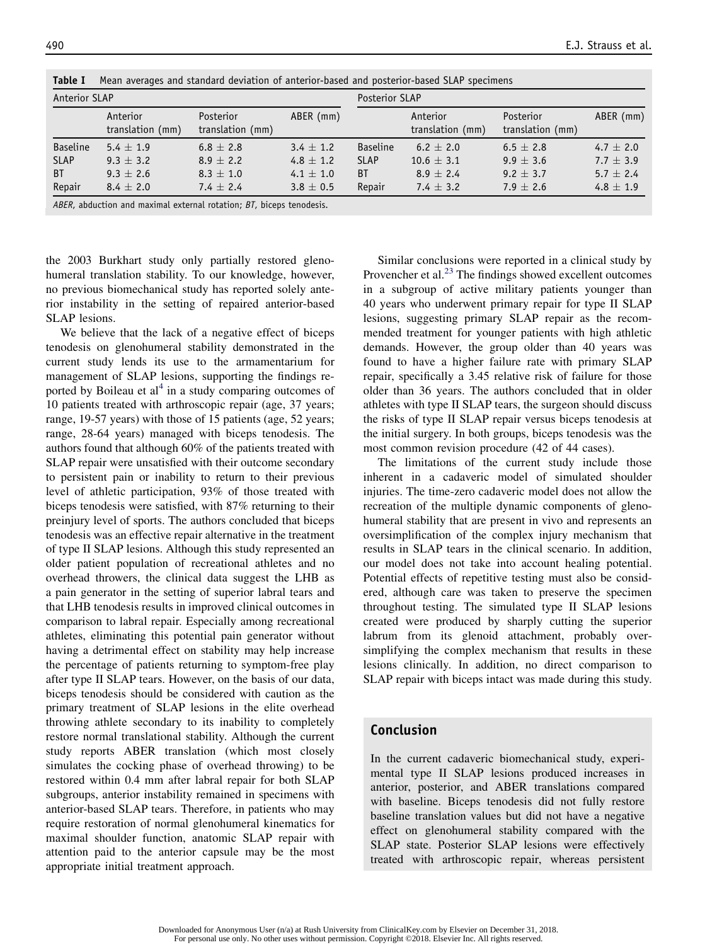| Anterior SLAP   |                              |                               |               | Posterior SLAP  |                              |                               |               |
|-----------------|------------------------------|-------------------------------|---------------|-----------------|------------------------------|-------------------------------|---------------|
|                 | Anterior<br>translation (mm) | Posterior<br>translation (mm) | ABER (mm)     |                 | Anterior<br>translation (mm) | Posterior<br>translation (mm) | ABER (mm)     |
| <b>Baseline</b> | $5.4 + 1.9$                  | $6.8 + 2.8$                   | $3.4 \pm 1.2$ | <b>Baseline</b> | $6.2 + 2.0$                  | $6.5 + 2.8$                   | 4.7 $\pm$ 2.0 |
| <b>SLAP</b>     | $9.3 \pm 3.2$                | $8.9 \pm 2.2$                 | 4.8 $\pm$ 1.2 | <b>SLAP</b>     | $10.6 \pm 3.1$               | $9.9 \pm 3.6$                 | 7.7 $\pm$ 3.9 |
| <b>BT</b>       | $9.3 + 2.6$                  | $8.3 \pm 1.0$                 | 4.1 $\pm$ 1.0 | <b>BT</b>       | $8.9 + 2.4$                  | $9.2 \pm 3.7$                 | $5.7 + 2.4$   |
| Repair          | $8.4 \pm 2.0$                | 7.4 $\pm$ 2.4                 | $3.8 \pm 0.5$ | Repair          | 7.4 $\pm$ 3.2                | $7.9 + 2.6$                   | $4.8 \pm 1.9$ |

Table I Mean averages and standard deviation of anterior-based and posterior-based SLAP specimens

ABER, abduction and maximal external rotation: BT, biceps tenodesis.

the 2003 Burkhart study only partially restored glenohumeral translation stability. To our knowledge, however, no previous biomechanical study has reported solely anterior instability in the setting of repaired anterior-based SLAP lesions.

We believe that the lack of a negative effect of biceps tenodesis on glenohumeral stability demonstrated in the current study lends its use to the armamentarium for management of SLAP lesions, supporting the findings reported by Boileau et  $al<sup>4</sup>$  in a study comparing outcomes of 10 patients treated with arthroscopic repair (age, 37 years; range, 19-57 years) with those of 15 patients (age, 52 years; range, 28-64 years) managed with biceps tenodesis. The authors found that although 60% of the patients treated with SLAP repair were unsatisfied with their outcome secondary to persistent pain or inability to return to their previous level of athletic participation, 93% of those treated with biceps tenodesis were satisfied, with 87% returning to their preinjury level of sports. The authors concluded that biceps tenodesis was an effective repair alternative in the treatment of type II SLAP lesions. Although this study represented an older patient population of recreational athletes and no overhead throwers, the clinical data suggest the LHB as a pain generator in the setting of superior labral tears and that LHB tenodesis results in improved clinical outcomes in comparison to labral repair. Especially among recreational athletes, eliminating this potential pain generator without having a detrimental effect on stability may help increase the percentage of patients returning to symptom-free play after type II SLAP tears. However, on the basis of our data, biceps tenodesis should be considered with caution as the primary treatment of SLAP lesions in the elite overhead throwing athlete secondary to its inability to completely restore normal translational stability. Although the current study reports ABER translation (which most closely simulates the cocking phase of overhead throwing) to be restored within 0.4 mm after labral repair for both SLAP subgroups, anterior instability remained in specimens with anterior-based SLAP tears. Therefore, in patients who may require restoration of normal glenohumeral kinematics for maximal shoulder function, anatomic SLAP repair with attention paid to the anterior capsule may be the most appropriate initial treatment approach.

Similar conclusions were reported in a clinical study by Provencher et al.<sup>23</sup> The findings showed excellent outcomes in a subgroup of active military patients younger than 40 years who underwent primary repair for type II SLAP lesions, suggesting primary SLAP repair as the recommended treatment for younger patients with high athletic demands. However, the group older than 40 years was found to have a higher failure rate with primary SLAP repair, specifically a 3.45 relative risk of failure for those older than 36 years. The authors concluded that in older athletes with type II SLAP tears, the surgeon should discuss the risks of type II SLAP repair versus biceps tenodesis at the initial surgery. In both groups, biceps tenodesis was the most common revision procedure (42 of 44 cases).

The limitations of the current study include those inherent in a cadaveric model of simulated shoulder injuries. The time-zero cadaveric model does not allow the recreation of the multiple dynamic components of glenohumeral stability that are present in vivo and represents an oversimplification of the complex injury mechanism that results in SLAP tears in the clinical scenario. In addition, our model does not take into account healing potential. Potential effects of repetitive testing must also be considered, although care was taken to preserve the specimen throughout testing. The simulated type II SLAP lesions created were produced by sharply cutting the superior labrum from its glenoid attachment, probably oversimplifying the complex mechanism that results in these lesions clinically. In addition, no direct comparison to SLAP repair with biceps intact was made during this study.

# Conclusion

In the current cadaveric biomechanical study, experimental type II SLAP lesions produced increases in anterior, posterior, and ABER translations compared with baseline. Biceps tenodesis did not fully restore baseline translation values but did not have a negative effect on glenohumeral stability compared with the SLAP state. Posterior SLAP lesions were effectively treated with arthroscopic repair, whereas persistent

Downloaded for Anonymous User (n/a) at Rush University from ClinicalKey.com by Elsevier on December 31, 2018. For personal use only. No other uses without permission. Copyright ©2018. Elsevier Inc. All rights reserved.